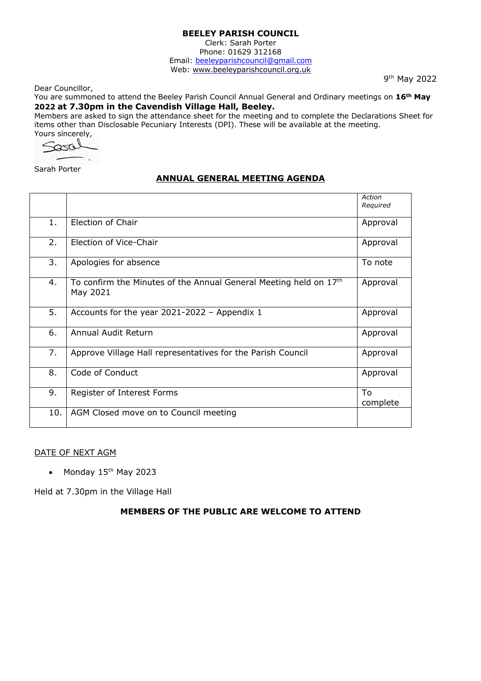Clerk: Sarah Porter Phone: 01629 312168 Email: beeleyparishcouncil@gmail.com Web:<www.beeleyparishcouncil.org.uk>

Dear Councillor,

9<sup>th</sup> May 2022

You are summoned to attend the Beeley Parish Council Annual General and Ordinary meetings on **16th May 2022 at 7.30pm in the Cavendish Village Hall, Beeley.**

Members are asked to sign the attendance sheet for the meeting and to complete the Declarations Sheet for items other than Disclosable Pecuniary Interests (DPI). These will be available at the meeting.

Yours sincerely,

Sarah Porter

# **ANNUAL GENERAL MEETING AGENDA**

|     |                                                                                 | Action<br>Required |
|-----|---------------------------------------------------------------------------------|--------------------|
| 1.  | Election of Chair                                                               | Approval           |
| 2.  | Election of Vice-Chair                                                          | Approval           |
| 3.  | Apologies for absence                                                           | To note            |
| 4.  | To confirm the Minutes of the Annual General Meeting held on $17th$<br>May 2021 | Approval           |
| 5.  | Accounts for the year 2021-2022 - Appendix 1                                    | Approval           |
| 6.  | Annual Audit Return                                                             | Approval           |
| 7.  | Approve Village Hall representatives for the Parish Council                     | Approval           |
| 8.  | Code of Conduct                                                                 | Approval           |
| 9.  | Register of Interest Forms                                                      | To<br>complete     |
| 10. | AGM Closed move on to Council meeting                                           |                    |

### DATE OF NEXT AGM

• Monday 15<sup>th</sup> May 2023

Held at 7.30pm in the Village Hall

# **MEMBERS OF THE PUBLIC ARE WELCOME TO ATTEND**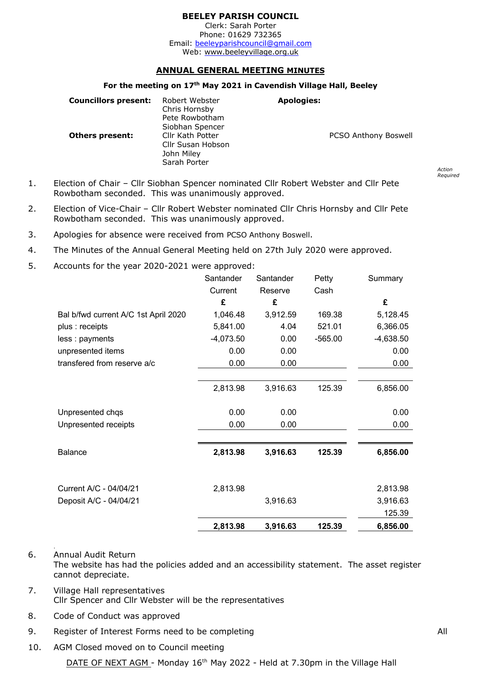Clerk: Sarah Porter Phone: 01629 732365 Email: beeleyparishcouncil@gmail.com Web:<www.beeleyvillage.org.uk>

### **ANNUAL GENERAL MEETING MINUTES**

### **For the meeting on 17th May 2021 in Cavendish Village Hall, Beeley**

| <b>Councillors present:</b> | Robert Webster<br>Chris Hornsby<br>Pete Rowbotham<br>Siobhan Spencer | <b>Apologies:</b> |                             |
|-----------------------------|----------------------------------------------------------------------|-------------------|-----------------------------|
| <b>Others present:</b>      | Cllr Kath Potter<br>Cllr Susan Hobson<br>John Miley<br>Sarah Porter  |                   | <b>PCSO Anthony Boswell</b> |

- 1. Election of Chair Cllr Siobhan Spencer nominated Cllr Robert Webster and Cllr Pete Rowbotham seconded. This was unanimously approved.
- 2. Election of Vice-Chair Cllr Robert Webster nominated Cllr Chris Hornsby and Cllr Pete Rowbotham seconded. This was unanimously approved.
- 3. Apologies for absence were received from PCSO Anthony Boswell.
- 4. The Minutes of the Annual General Meeting held on 27th July 2020 were approved.
- 5. Accounts for the year 2020-2021 were approved:

|                                      | Santander   | Santander | Petty     | Summary     |
|--------------------------------------|-------------|-----------|-----------|-------------|
|                                      | Current     | Reserve   | Cash      |             |
|                                      | £           | £         |           | £           |
| Bal b/fwd current A/C 1st April 2020 | 1,046.48    | 3,912.59  | 169.38    | 5,128.45    |
| plus : receipts                      | 5,841.00    | 4.04      | 521.01    | 6,366.05    |
| less : payments                      | $-4,073.50$ | 0.00      | $-565.00$ | $-4,638.50$ |
| unpresented items                    | 0.00        | 0.00      |           | 0.00        |
| transfered from reserve a/c          | 0.00        | 0.00      |           | 0.00        |
|                                      |             |           |           |             |
|                                      | 2,813.98    | 3,916.63  | 125.39    | 6,856.00    |
|                                      |             |           |           |             |
| Unpresented chqs                     | 0.00        | 0.00      |           | 0.00        |
| Unpresented receipts                 | 0.00        | 0.00      |           | 0.00        |
|                                      |             |           |           |             |
| <b>Balance</b>                       | 2,813.98    | 3,916.63  | 125.39    | 6,856.00    |
|                                      |             |           |           |             |
| Current A/C - 04/04/21               | 2,813.98    |           |           | 2,813.98    |
| Deposit A/C - 04/04/21               |             | 3,916.63  |           | 3,916.63    |
|                                      |             |           |           | 125.39      |
|                                      | 2,813.98    | 3,916.63  | 125.39    | 6,856.00    |

- 6. Annual Audit Return The website has had the policies added and an accessibility statement. The asset register cannot depreciate.
- 7. Village Hall representatives Cllr Spencer and Cllr Webster will be the representatives
- 8. Code of Conduct was approved

.

- 9. Register of Interest Forms need to be completing and a set of the All All
- 10. AGM Closed moved on to Council meeting

*Action Required*

DATE OF NEXT AGM - Monday 16<sup>th</sup> May 2022 - Held at 7.30pm in the Village Hall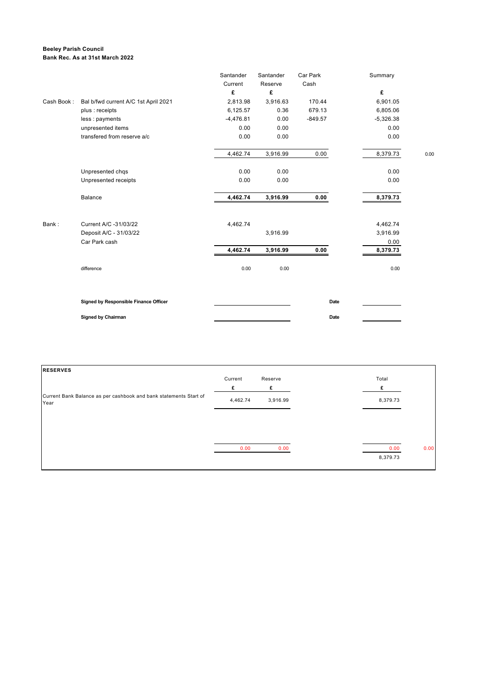### **Beeley Parish Council Bank Rec. As at 31st March 2022**

|            |                                       | Santander    | Santander    | Car Park  | Summary     |      |
|------------|---------------------------------------|--------------|--------------|-----------|-------------|------|
|            |                                       | Current<br>£ | Reserve<br>£ | Cash      | £           |      |
| Cash Book: | Bal b/fwd current A/C 1st April 2021  | 2,813.98     | 3,916.63     | 170.44    | 6,901.05    |      |
|            | plus : receipts                       | 6,125.57     | 0.36         | 679.13    | 6,805.06    |      |
|            | less : payments                       | $-4,476.81$  | 0.00         | $-849.57$ | $-5,326.38$ |      |
|            | unpresented items                     | 0.00         | 0.00         |           | 0.00        |      |
|            | transfered from reserve a/c           | 0.00         | 0.00         |           | 0.00        |      |
|            |                                       | 4,462.74     | 3,916.99     | 0.00      | 8,379.73    | 0.00 |
|            | Unpresented chqs                      | 0.00         | 0.00         |           | 0.00        |      |
|            | Unpresented receipts                  | 0.00         | 0.00         |           | 0.00        |      |
|            | <b>Balance</b>                        | 4,462.74     | 3,916.99     | 0.00      | 8,379.73    |      |
| Bank:      | Current A/C -31/03/22                 | 4,462.74     |              |           | 4,462.74    |      |
|            | Deposit A/C - 31/03/22                |              | 3,916.99     |           | 3,916.99    |      |
|            | Car Park cash                         |              |              |           | 0.00        |      |
|            |                                       | 4,462.74     | 3,916.99     | 0.00      | 8,379.73    |      |
|            | difference                            | 0.00         | 0.00         |           | 0.00        |      |
|            | Signed by Responsible Finance Officer |              |              | Date      |             |      |
|            | <b>Signed by Chairman</b>             |              |              | Date      |             |      |

| <b>RESERVES</b>                                                           |          |          |          |      |
|---------------------------------------------------------------------------|----------|----------|----------|------|
|                                                                           | Current  | Reserve  | Total    |      |
|                                                                           | £        | £        |          |      |
| Current Bank Balance as per cashbook and bank statements Start of<br>Year | 4,462.74 | 3,916.99 | 8,379.73 |      |
|                                                                           |          |          |          |      |
|                                                                           |          |          |          |      |
|                                                                           | 0.00     | 0.00     | 0.00     | 0.00 |
|                                                                           |          |          | 8,379.73 |      |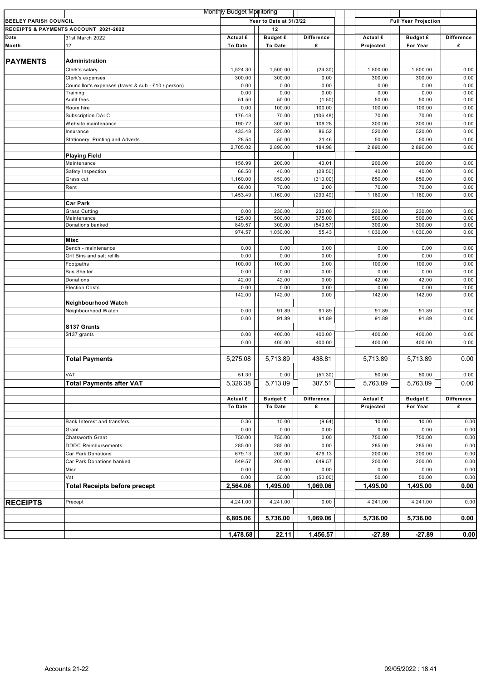|                              |                                                     | <b>Monthly Budget Monitoring</b> |                         |                   |                             |                 |                   |
|------------------------------|-----------------------------------------------------|----------------------------------|-------------------------|-------------------|-----------------------------|-----------------|-------------------|
| <b>BEELEY PARISH COUNCIL</b> |                                                     |                                  | Year to Date at 31/3/22 |                   | <b>Full Year Projection</b> |                 |                   |
|                              | <b>RECEIPTS &amp; PAYMENTS ACCOUNT 2021-2022</b>    |                                  | 12                      |                   |                             |                 |                   |
| Date                         | 31st March 2022                                     | Actual £                         | <b>Budget £</b>         | <b>Difference</b> | Actual £                    | <b>Budget £</b> | <b>Difference</b> |
| Month                        | 12                                                  | To Date                          | To Date                 | £                 | Projected                   | For Year        | £                 |
|                              |                                                     |                                  |                         |                   |                             |                 |                   |
| <b>PAYMENTS</b>              | Administration                                      |                                  |                         |                   |                             |                 |                   |
|                              | Clerk's salary                                      | 1,524.30                         | 1,500.00                | (24.30)           | 1,500.00                    | 1,500.00        | 0.00              |
|                              | Clerk's expenses                                    | 300.00                           | 300.00                  | 0.00              | 300.00                      | 300.00          | 0.00              |
|                              | Councillor's expenses (travel & sub - £10 / person) | 0.00                             | 0.00                    | 0.00              | 0.00                        | 0.00            | 0.00              |
|                              | Training                                            | 0.00                             | 0.00                    | 0.00              | 0.00                        | 0.00            | 0.00              |
|                              | Audit fees                                          | 51.50                            | 50.00                   | (1.50)            | 50.00                       | 50.00           | 0.00              |
|                              | Room hire                                           | 0.00                             | 100.00                  | 100.00            | 100.00                      | 100.00          | 0.00              |
|                              | <b>Subscription DALC</b>                            | 176.48                           | 70.00                   | (106.48)          | 70.00                       | 70.00           | 0.00              |
|                              | Website maintenance                                 | 190.72                           | 300.00                  | 109.28            | 300.00                      | 300.00          | 0.00              |
|                              | Insurance                                           | 433.48                           | 520.00                  | 86.52             | 520.00                      | 520.00          | 0.00              |
|                              | Stationery, Printing and Adverts                    | 28.54                            | 50.00                   | 21.46             | 50.00                       | 50.00           | 0.00              |
|                              |                                                     | 2,705.02                         | 2,890.00                | 184.98            | 2,890.00                    | 2,890.00        | 0.00              |
|                              | <b>Playing Field</b>                                |                                  |                         |                   |                             |                 |                   |
|                              | Maintenance                                         | 156.99                           | 200.00                  | 43.01             | 200.00                      | 200.00          | 0.00              |
|                              | Safety Inspection                                   | 68.50                            | 40.00                   | (28.50)           | 40.00                       | 40.00           | 0.00              |
|                              | Grass cut                                           | 1,160.00                         | 850.00                  | (310.00)          | 850.00                      | 850.00          | 0.00              |
|                              | Rent                                                | 68.00                            | 70.00                   | 2.00              | 70.00                       | 70.00           | 0.00              |
|                              |                                                     | 1,453.49                         | 1,160.00                | (293.49)          | 1,160.00                    | 1,160.00        | 0.00              |
|                              | <b>Car Park</b>                                     |                                  |                         |                   |                             |                 |                   |
|                              | <b>Grass Cutting</b>                                | 0.00                             | 230.00                  | 230.00            | 230.00                      | 230.00          | 0.00              |
|                              | Maintenance                                         | 125.00                           | 500.00                  | 375.00            | 500.00                      | 500.00          | 0.00              |
|                              | Donations banked                                    | 849.57                           | 300.00                  | (549.57)          | 300.00                      | 300.00          | 0.00              |
|                              |                                                     | 974.57                           | 1,030.00                | 55.43             | 1,030.00                    | 1,030.00        | 0.00              |
|                              | Misc                                                |                                  |                         |                   |                             |                 |                   |
|                              | Bench - maintenance                                 | 0.00                             | 0.00                    | 0.00              | 0.00                        | 0.00            | 0.00              |
|                              | Grit Bins and salt refills                          | 0.00                             | 0.00                    | 0.00              | 0.00                        | 0.00            | 0.00              |
|                              | Footpaths                                           | 100.00                           | 100.00                  | 0.00              | 100.00                      | 100.00          | 0.00              |
|                              |                                                     |                                  |                         | 0.00              | 0.00                        |                 |                   |
|                              | <b>Bus Shelter</b>                                  | 0.00                             | 0.00                    |                   |                             | 0.00            | 0.00              |
|                              | Donations                                           | 42.00                            | 42.00                   | 0.00              | 42.00                       | 42.00           | 0.00              |
|                              | <b>Election Costs</b>                               | 0.00                             | 0.00                    | 0.00<br>0.00      | 0.00                        | 0.00            | 0.00<br>0.00      |
|                              |                                                     | 142.00                           | 142.00                  |                   | 142.00                      | 142.00          |                   |
|                              | Neighbourhood Watch                                 |                                  |                         |                   |                             |                 |                   |
|                              | Neighbourhood Watch                                 | 0.00                             | 91.89                   | 91.89             | 91.89                       | 91.89           | 0.00              |
|                              |                                                     | 0.00                             | 91.89                   | 91.89             | 91.89                       | 91.89           | 0.00              |
|                              | S137 Grants                                         |                                  |                         |                   |                             |                 |                   |
|                              | S137 grants                                         | 0.00                             | 400.00                  | 400.00            | 400.00                      | 400.00          | 0.00              |
|                              |                                                     | 0.00                             | 400.00                  | 400.00            | 400.00                      | 400.00          | 0.00              |
|                              |                                                     |                                  |                         |                   |                             |                 |                   |
|                              | <b>Total Payments</b>                               | 5.275.08                         | 5,713.89                | 438.81            | 5,713.89                    | 5,713.89        | 0.00              |
|                              |                                                     |                                  |                         |                   |                             |                 |                   |
|                              | VAT                                                 | 51.30                            | 0.00                    | (51.30)           | 50.00                       | 50.00           | 0.00              |
|                              | <b>Total Payments after VAT</b>                     | 5,326.38                         | 5,713.89                | 387.51            | 5,763.89                    | 5,763.89        | 0.00              |
|                              |                                                     |                                  |                         |                   |                             |                 |                   |
|                              |                                                     | Actual £                         | <b>Budget £</b>         | <b>Difference</b> | Actual £                    | <b>Budget £</b> | <b>Difference</b> |
|                              |                                                     | To Date                          | To Date                 | £                 | Projected                   | For Year        | £                 |
|                              |                                                     |                                  |                         |                   |                             |                 |                   |
|                              | Bank Interest and transfers                         | 0.36                             | 10.00                   | (9.64)            | 10.00                       | 10.00           | 0.00              |
|                              | Grant                                               | 0.00                             | 0.00                    | 0.00              | 0.00                        | 0.00            | 0.00              |
|                              | Chatsworth Grant                                    | 750.00                           | 750.00                  | 0.00              | 750.00                      | 750.00          | 0.00              |
|                              | <b>DDDC Reimbursements</b>                          | 285.00                           | 285.00                  | 0.00              | 285.00                      | 285.00          | 0.00              |
|                              |                                                     | 679.13                           | 200.00                  | 479.13            | 200.00                      | 200.00          | 0.00              |
|                              | Car Park Donations<br>Car Park Donations banked     |                                  | 200.00                  | 649.57            | 200.00                      | 200.00          |                   |
|                              |                                                     | 849.57                           |                         |                   |                             |                 | 0.00              |
|                              | Misc                                                | 0.00                             | 0.00                    | 0.00              | 0.00                        | 0.00            | 0.00              |
|                              | Vat                                                 | 0.00                             | 50.00                   | (50.00)           | 50.00                       | 50.00           | 0.00              |
|                              | <b>Total Receipts before precept</b>                | 2,564.06                         | 1,495.00                | 1,069.06          | 1,495.00                    | 1,495.00        | 0.00              |
|                              |                                                     |                                  |                         |                   |                             |                 |                   |
| <b>RECEIPTS</b>              | Precept                                             | 4,241.00                         | 4,241.00                | 0.00              | 4,241.00                    | 4,241.00        | 0.00              |
|                              |                                                     |                                  |                         |                   |                             |                 |                   |
|                              |                                                     | 6,805.06                         | 5,736.00                | 1,069.06          | 5,736.00                    | 5,736.00        | 0.00              |
|                              |                                                     |                                  |                         |                   |                             |                 |                   |
|                              |                                                     | 1,478.68                         | 22.11                   | 1,456.57          | $-27.89$                    | $-27.89$        | 0.00              |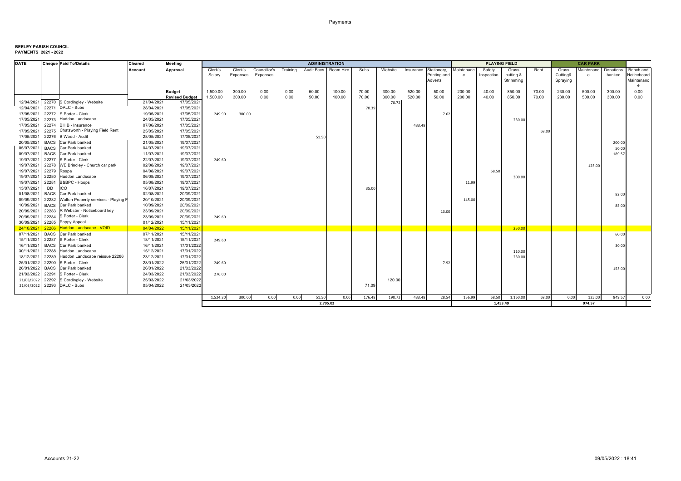| <b>DATE</b> | <b>Cheque Paid To/Details</b>                 | Cleared    | <b>Meeting</b>                      |          |          |              |              | <b>ADMINISTRATION</b>  |        |        |                 |           |              |            | <b>PLAYING FIELD</b> |           |       |          | <b>CAR PARK</b> |           |             |
|-------------|-----------------------------------------------|------------|-------------------------------------|----------|----------|--------------|--------------|------------------------|--------|--------|-----------------|-----------|--------------|------------|----------------------|-----------|-------|----------|-----------------|-----------|-------------|
|             |                                               | Account    | Approval                            | Clerk's  | Clerk's  | Councillor's | Training     | Audit Fees   Room Hire |        | Subs   | Website         | Insurance | Stationery,  | Maintenanc | Safety               | Grass     | Rent  | Grass    | Maintenanc      | Donations | Bench and   |
|             |                                               |            |                                     | Salary   | Expenses | Expenses     |              |                        |        |        |                 |           | Printing and | e          | Inspection           | cutting & |       | Cutting& | e               | banked    | Noticeboard |
|             |                                               |            |                                     |          |          |              |              |                        |        |        |                 |           | Adverts      |            |                      | Strimming |       | Spraying |                 |           | Maintenanc  |
|             |                                               |            |                                     |          |          |              |              |                        |        |        |                 |           |              |            |                      |           |       |          |                 |           | e           |
|             |                                               |            | <b>Budget</b>                       | 1,500.00 | 300.00   | 0.00         | 0.00<br>0.00 | 50.00                  | 100.00 | 70.00  | 300.00          | 520.00    | 50.00        | 200.00     | 40.00                | 850.00    | 70.00 | 230.00   | 500.00          | 300.00    | 0.00        |
|             | 12/04/2021 22270 S Cordingley - Website       | 21/04/2021 | <b>Revised Budget</b><br>17/05/2021 | 1,500.00 | 300.00   | 0.00         |              | 50.00                  | 100.00 | 70.00  | 300.00<br>70.72 | 520.00    | 50.00        | 200.00     | 40.00                | 850.00    | 70.00 | 230.00   | 500.00          | 300.00    | 0.00        |
|             | 12/04/2021 22271 DALC - Subs                  | 28/04/2021 | 17/05/2021                          |          |          |              |              |                        |        | 70.39  |                 |           |              |            |                      |           |       |          |                 |           |             |
|             | 17/05/2021 22272 S Porter - Clerk             | 19/05/2021 | 17/05/2021                          | 249.90   | 300.00   |              |              |                        |        |        |                 |           | 7.62         |            |                      |           |       |          |                 |           |             |
|             | 17/05/2021 22273 Haddon Landscape             | 24/05/2021 | 17/05/2021                          |          |          |              |              |                        |        |        |                 |           |              |            |                      | 250.00    |       |          |                 |           |             |
| 17/05/2021  | 22274 BHIB - Insurance                        | 07/06/2021 | 17/05/2021                          |          |          |              |              |                        |        |        |                 | 433.48    |              |            |                      |           |       |          |                 |           |             |
| 17/05/2021  | 22275 Chatsworth - Playing Field Rent         | 25/05/2021 | 17/05/2021                          |          |          |              |              |                        |        |        |                 |           |              |            |                      |           | 68.00 |          |                 |           |             |
|             | 17/05/2021 22276 B Wood - Audit               | 28/05/2021 | 17/05/202                           |          |          |              |              | 51.50                  |        |        |                 |           |              |            |                      |           |       |          |                 |           |             |
| 20/05/2021  | BACS Car Park banked                          | 21/05/2021 | 19/07/2021                          |          |          |              |              |                        |        |        |                 |           |              |            |                      |           |       |          |                 | 200.00    |             |
| 05/07/2021  | BACS Car Park banked                          | 04/07/2021 | 19/07/2021                          |          |          |              |              |                        |        |        |                 |           |              |            |                      |           |       |          |                 | 50.00     |             |
| 09/07/2021  | <b>BACS</b> Car Park banked                   | 11/07/2021 | 19/07/2021                          |          |          |              |              |                        |        |        |                 |           |              |            |                      |           |       |          |                 | 189.57    |             |
| 19/07/2021  | 22277 S Porter - Clerk                        | 22/07/2021 | 19/07/2021                          | 249.60   |          |              |              |                        |        |        |                 |           |              |            |                      |           |       |          |                 |           |             |
| 19/07/2021  | 22278 WE Brindley - Church car park           | 02/08/2021 | 19/07/2021                          |          |          |              |              |                        |        |        |                 |           |              |            |                      |           |       |          | 125.00          |           |             |
| 19/07/2021  | 22279 Rospa                                   | 04/08/2021 | 19/07/2021                          |          |          |              |              |                        |        |        |                 |           |              |            | 68.50                |           |       |          |                 |           |             |
| 19/07/2021  | 22280 Haddon Landscape                        | 06/08/2021 | 19/07/202                           |          |          |              |              |                        |        |        |                 |           |              |            |                      | 300.00    |       |          |                 |           |             |
| 19/07/2021  | 22281<br>B&BPC - Hoops                        | 05/08/2021 | 19/07/2021                          |          |          |              |              |                        |        |        |                 |           |              | 11.99      |                      |           |       |          |                 |           |             |
| 15/07/2021  | <b>DD</b><br>ICO                              | 16/07/2021 | 19/07/2021                          |          |          |              |              |                        |        | 35.00  |                 |           |              |            |                      |           |       |          |                 |           |             |
| 01/08/2021  | <b>BACS</b> Car Park banked                   | 02/08/2021 | 20/09/2021                          |          |          |              |              |                        |        |        |                 |           |              |            |                      |           |       |          |                 | 82.00     |             |
| 09/09/2021  | 22282<br>Walton Property services - Playing F | 20/10/2021 | 20/09/2021                          |          |          |              |              |                        |        |        |                 |           |              | 145.00     |                      |           |       |          |                 |           |             |
| 10/09/2021  | <b>BACS</b><br>Car Park banked                | 10/09/2021 | 20/09/2021                          |          |          |              |              |                        |        |        |                 |           |              |            |                      |           |       |          |                 | 85.00     |             |
| 20/09/2021  | R Webster - Noticeboard key<br>22283          | 23/09/2021 | 20/09/2021                          |          |          |              |              |                        |        |        |                 |           | 13.00        |            |                      |           |       |          |                 |           |             |
| 20/09/2021  | 22284<br>S Porter - Clerk                     | 23/09/2021 | 20/09/2021                          | 249.60   |          |              |              |                        |        |        |                 |           |              |            |                      |           |       |          |                 |           |             |
| 30/09/2021  | 22285<br>Poppy Appeal                         | 01/12/2021 | 15/11/202                           |          |          |              |              |                        |        |        |                 |           |              |            |                      |           |       |          |                 |           |             |
| 24/10/2021  | 22286 Haddon Landscape - VOID                 | 04/04/2022 | 15/11/2021                          |          |          |              |              |                        |        |        |                 |           |              |            |                      | 250.00    |       |          |                 |           |             |
| 07/11/2021  | <b>BACS</b> Car Park banked                   | 07/11/2021 | 15/11/2021                          |          |          |              |              |                        |        |        |                 |           |              |            |                      |           |       |          |                 | 60.00     |             |
| 15/11/2021  | 22287<br>S Porter - Clerk                     | 18/11/2021 | 15/11/2021                          | 249.60   |          |              |              |                        |        |        |                 |           |              |            |                      |           |       |          |                 |           |             |
| 16/11/2021  | <b>BACS</b> Car Park banked                   | 16/11/2021 | 17/01/2022                          |          |          |              |              |                        |        |        |                 |           |              |            |                      |           |       |          |                 | 30.00     |             |
| 30/11/2021  | 22288<br>Haddon Landscape                     | 15/12/2021 | 17/01/2022                          |          |          |              |              |                        |        |        |                 |           |              |            |                      | 110.00    |       |          |                 |           |             |
| 18/12/2021  | Haddon Landscape reissue 22286<br>22289       | 23/12/2021 | 17/01/2022                          |          |          |              |              |                        |        |        |                 |           |              |            |                      | 250.00    |       |          |                 |           |             |
| 25/01/2022  | 22290<br>S Porter - Clerk                     | 28/01/2022 | 25/01/2022                          | 249.60   |          |              |              |                        |        |        |                 |           | 7.92         |            |                      |           |       |          |                 |           |             |
| 26/01/2022  | BACS Car Park banked                          | 26/01/2022 | 21/03/2022                          |          |          |              |              |                        |        |        |                 |           |              |            |                      |           |       |          |                 | 153.00    |             |
| 21/03/2022  | 22291 S Porter - Clerk                        | 24/03/2022 | 21/03/2022                          | 276.00   |          |              |              |                        |        |        |                 |           |              |            |                      |           |       |          |                 |           |             |
| 21/03/2022  | 22292 S Cordingley - Website                  | 25/03/2022 | 21/03/2022                          |          |          |              |              |                        |        |        | 120.00          |           |              |            |                      |           |       |          |                 |           |             |
| 21/03/2022  | 22293 DALC - Subs                             | 05/04/2022 | 21/03/2022                          |          |          |              |              |                        |        | 71.09  |                 |           |              |            |                      |           |       |          |                 |           |             |
|             |                                               |            |                                     |          |          |              |              |                        |        |        |                 |           |              |            |                      |           |       |          |                 |           |             |
|             |                                               |            |                                     | 1,524.30 | 300.00   | 0.00         | 0.00         | 51.50                  | 0.00   | 176.48 | 190.72          | 433.48    | 28.54        | 156.99     | 68.50                | 1,160.00  | 68.00 | 0.00     | 125.00          | 849.57    | 0.00        |
|             |                                               |            |                                     |          |          |              |              | 2,705.02               |        |        |                 |           |              |            | 1,453.49             |           |       |          | 974.57          |           |             |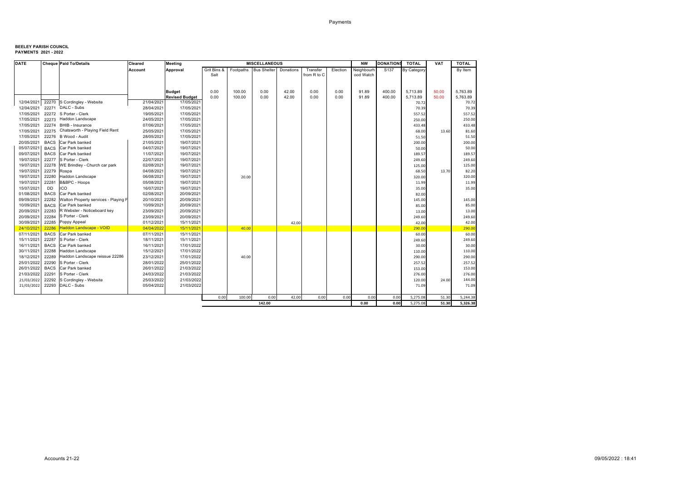| <b>DATE</b> |             | <b>Cheque Paid To/Details</b>           | Cleared    | <b>Meeting</b>        |             |        | <b>MISCELLANEOUS</b>  |           |             |          | <b>NW</b>  | <b>DONATIONS</b> | <b>TOTAL</b> | <b>VAT</b> | <b>TOTAL</b> |
|-------------|-------------|-----------------------------------------|------------|-----------------------|-------------|--------|-----------------------|-----------|-------------|----------|------------|------------------|--------------|------------|--------------|
|             |             |                                         | Account    | Approval              | Grit Bins & |        | Footpaths Bus Shelter | Donations | Transfer    | Election | Neighbourh | S <sub>137</sub> | By Category  |            | By Item      |
|             |             |                                         |            |                       | Salt        |        |                       |           | from R to C |          | ood Watch  |                  |              |            |              |
|             |             |                                         |            |                       |             |        |                       |           |             |          |            |                  |              |            |              |
|             |             |                                         |            |                       |             |        |                       |           |             |          |            |                  |              |            |              |
|             |             |                                         |            | <b>Budget</b>         | 0.00        | 100.00 | 0.00                  | 42.00     | 0.00        | 0.00     | 91.89      | 400.00           | 5.713.89     | 50.00      | 5.763.89     |
|             |             |                                         |            | <b>Revised Budget</b> | 0.00        | 100.00 | 0.00                  | 42.00     | 0.00        | 0.00     | 91.89      | 400.00           | 5,713.89     | 50.00      | 5,763.89     |
|             |             | 12/04/2021 22270 S Cordingley - Website | 21/04/2021 | 17/05/2021            |             |        |                       |           |             |          |            |                  | 70.72        |            | 70.72        |
| 12/04/2021  | 22271       | DALC - Subs                             | 28/04/2021 | 17/05/2021            |             |        |                       |           |             |          |            |                  | 70.39        |            | 70.39        |
| 17/05/2021  |             | 22272 S Porter - Clerk                  | 19/05/2021 | 17/05/2021            |             |        |                       |           |             |          |            |                  | 557.52       |            | 557.52       |
| 17/05/2021  |             | 22273 Haddon Landscape                  | 24/05/2021 | 17/05/2021            |             |        |                       |           |             |          |            |                  | 250.00       |            | 250.00       |
| 17/05/2021  |             | 22274 BHIB - Insurance                  | 07/06/2021 | 17/05/2021            |             |        |                       |           |             |          |            |                  | 433.48       |            | 433.48       |
| 17/05/2021  | 22275       | Chatsworth - Playing Field Rent         | 25/05/2021 | 17/05/2021            |             |        |                       |           |             |          |            |                  | 68.00        | 13.60      | 81.60        |
| 17/05/2021  |             | 22276 B Wood - Audit                    | 28/05/2021 | 17/05/2021            |             |        |                       |           |             |          |            |                  | 51.50        |            | 51.50        |
| 20/05/2021  |             | BACS Car Park banked                    | 21/05/2021 | 19/07/2021            |             |        |                       |           |             |          |            |                  | 200.00       |            | 200.00       |
| 05/07/2021  | <b>BACS</b> | Car Park banked                         | 04/07/2021 | 19/07/2021            |             |        |                       |           |             |          |            |                  | 50.00        |            | 50.00        |
| 09/07/2021  | <b>BACS</b> | Car Park banked                         | 11/07/2021 | 19/07/2021            |             |        |                       |           |             |          |            |                  | 189.57       |            | 189.57       |
| 19/07/2021  | 22277       | S Porter - Clerk                        | 22/07/2021 | 19/07/2021            |             |        |                       |           |             |          |            |                  | 249.60       |            | 249.60       |
| 19/07/2021  | 22278       | WE Brindley - Church car park           | 02/08/2021 | 19/07/2021            |             |        |                       |           |             |          |            |                  | 125.00       |            | 125.00       |
| 19/07/2021  | 22279       | Rospa                                   | 04/08/2021 | 19/07/2021            |             |        |                       |           |             |          |            |                  | 68.50        | 13.70      | 82.20        |
| 19/07/2021  | 22280       | Haddon Landscape                        | 06/08/2021 | 19/07/2021            |             | 20.00  |                       |           |             |          |            |                  | 320.00       |            | 320.00       |
| 19/07/2021  | 22281       | B&BPC - Hoops                           | 05/08/2021 | 19/07/2021            |             |        |                       |           |             |          |            |                  | 11.99        |            | 11.99        |
| 15/07/2021  | <b>DD</b>   | ICO                                     | 16/07/2021 | 19/07/2021            |             |        |                       |           |             |          |            |                  | 35.00        |            | 35.00        |
| 01/08/2021  | <b>BACS</b> | Car Park banked                         | 02/08/2021 | 20/09/2021            |             |        |                       |           |             |          |            |                  | 82.00        |            |              |
| 09/09/2021  | 22282       | Walton Property services - Playing F    | 20/10/2021 | 20/09/2021            |             |        |                       |           |             |          |            |                  | 145.00       |            | 145.00       |
| 10/09/2021  | <b>BACS</b> | Car Park banked                         | 10/09/2021 | 20/09/2021            |             |        |                       |           |             |          |            |                  | 85.00        |            | 85.00        |
| 20/09/2021  | 22283       | R Webster - Noticeboard key             | 23/09/2021 | 20/09/2021            |             |        |                       |           |             |          |            |                  | 13.00        |            | 13.00        |
| 20/09/2021  | 22284       | S Porter - Clerk                        | 23/09/2021 | 20/09/2021            |             |        |                       |           |             |          |            |                  | 249.60       |            | 249.60       |
| 30/09/2021  | 22285       | Poppy Appeal                            | 01/12/2021 | 15/11/2021            |             |        |                       | 42.00     |             |          |            |                  | 42.00        |            | 42.00        |
| 24/10/202   | 22286       | <b>Haddon Landscape - VOID</b>          | 04/04/2022 | 15/11/2021            |             | 40.00  |                       |           |             |          |            |                  | 290.00       |            | 290.00       |
| 07/11/2021  | <b>BACS</b> | Car Park banked                         | 07/11/2021 | 15/11/2021            |             |        |                       |           |             |          |            |                  | 60.00        |            | 60.00        |
| 15/11/2021  | 22287       | S Porter - Clerk                        | 18/11/2021 | 15/11/2021            |             |        |                       |           |             |          |            |                  | 249.60       |            | 249.60       |
| 16/11/2021  | <b>BACS</b> | Car Park banked                         | 16/11/2021 | 17/01/2022            |             |        |                       |           |             |          |            |                  | 30.00        |            | 30.00        |
| 30/11/2021  | 22288       | Haddon Landscape                        | 15/12/2021 | 17/01/2022            |             |        |                       |           |             |          |            |                  | 110.00       |            | 110.00       |
| 18/12/2021  | 22289       | Haddon Landscape reissue 22286          | 23/12/2021 | 17/01/2022            |             | 40.00  |                       |           |             |          |            |                  | 290.00       |            | 290.00       |
| 25/01/2022  | 22290       | S Porter - Clerk                        | 28/01/2022 | 25/01/2022            |             |        |                       |           |             |          |            |                  | 257.52       |            | 257.52       |
| 26/01/2022  | <b>BACS</b> | Car Park banked                         | 26/01/2022 | 21/03/2022            |             |        |                       |           |             |          |            |                  | 153.00       |            | 153.00       |
| 21/03/2022  | 22291       | S Porter - Clerk                        | 24/03/2022 | 21/03/2022            |             |        |                       |           |             |          |            |                  | 276.00       |            | 276.00       |
| 21/03/2022  | 22292       | S Cordingley - Website                  | 25/03/2022 | 21/03/2022            |             |        |                       |           |             |          |            |                  | 120.00       | 24.00      | 144.00       |
| 21/03/2022  | 22293       | DALC - Subs                             | 05/04/2022 | 21/03/2022            |             |        |                       |           |             |          |            |                  | 71.09        |            | 71.09        |
|             |             |                                         |            |                       | 0.00        | 100.00 | 0.00                  | 42.00     | 0.00        | 0.00     | 0.00       | 0.00             | 5,275.08     | 51.30      | 5,244.38     |
|             |             |                                         |            |                       |             |        | 142.00                |           |             |          | 0.00       | 0.00             | 5,275.08     | 51.30      | 5,326.38     |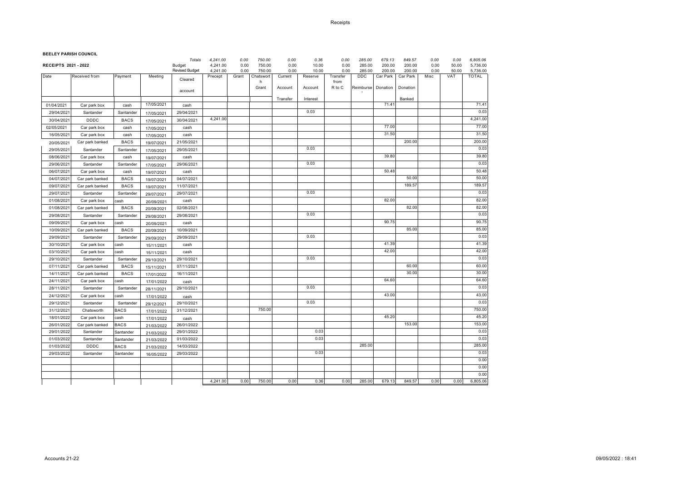#### Receipts

**BEELEY PARISH COUNCIL**

|                             | BLLLLI FANSII COONCIL |                     |                          | Totals                | 4,241.00            | 0.00          | 750.00              | 0.00            | 0.36             | 0.00             | 285.00        | 679.13             | 849.57             | 0.00         | 0.00         | 6,805.06                 |
|-----------------------------|-----------------------|---------------------|--------------------------|-----------------------|---------------------|---------------|---------------------|-----------------|------------------|------------------|---------------|--------------------|--------------------|--------------|--------------|--------------------------|
| <b>RECEIPTS 2021 - 2022</b> |                       |                     |                          | Budget                | 4,241.00            | 0.00          | 750.00              | 0.00            | 10.00            | 0.00             | 285.00        | 200.00             | 200.00             | 0.00         | 50.00        | 5,736.00                 |
| Date                        | Received from         | Payment             | Meeting                  | <b>Revised Budget</b> | 4,241.00<br>Precept | 0.00<br>Grant | 750.00<br>Chatswort | 0.00<br>Current | 10.00<br>Reserve | 0.00<br>Transfer | 285.00<br>DDC | 200.00<br>Car Park | 200.00<br>Car Park | 0.00<br>Misc | 50.00<br>VAT | 5,736.00<br><b>TOTAL</b> |
|                             |                       |                     |                          | Cleared               |                     |               | h                   |                 |                  | from             |               |                    |                    |              |              |                          |
|                             |                       |                     |                          | account               |                     |               | Grant               | Account         | Account          | R to C           | Reimburse     | Donation           | Donation           |              |              |                          |
|                             |                       |                     |                          |                       |                     |               |                     | Transfer        | Interest         |                  |               |                    | Banked             |              |              |                          |
| 01/04/2021                  | Car park box          | cash                | 17/05/2021               | cash                  |                     |               |                     |                 |                  |                  |               | 71.41              |                    |              |              | 71.41                    |
| 29/04/2021                  | Santander             | Santander           | 17/05/2021               | 29/04/2021            |                     |               |                     |                 | 0.03             |                  |               |                    |                    |              |              | 0.03                     |
| 30/04/2021                  | <b>DDDC</b>           | <b>BACS</b>         | 17/05/2021               | 30/04/2021            | 4,241.00            |               |                     |                 |                  |                  |               |                    |                    |              |              | 4,241.00                 |
| 02/05/2021                  | Car park box          | cash                | 17/05/2021               | cash                  |                     |               |                     |                 |                  |                  |               | 77.00              |                    |              |              | 77.00                    |
| 16/05/2021                  | Car park box          | cash                | 17/05/2021               | cash                  |                     |               |                     |                 |                  |                  |               | 31.50              |                    |              |              | 31.50                    |
| 20/05/2021                  | Car park banked       | <b>BACS</b>         | 19/07/2021               | 21/05/2021            |                     |               |                     |                 |                  |                  |               |                    | 200.00             |              |              | 200.00                   |
| 29/05/2021                  | Santander             | Santander           | 17/05/2021               | 29/05/2021            |                     |               |                     |                 | 0.03             |                  |               |                    |                    |              |              | 0.03                     |
| 08/06/2021                  | Car park box          | cash                | 19/07/2021               | cash                  |                     |               |                     |                 |                  |                  |               | 39.80              |                    |              |              | 39.80                    |
| 29/06/2021                  | Santander             | Santander           | 17/05/2021               | 29/06/2021            |                     |               |                     |                 | 0.03             |                  |               |                    |                    |              |              | 0.03                     |
| 06/07/202                   | Car park box          | cash                | 19/07/2021               | cash                  |                     |               |                     |                 |                  |                  |               | 50.48              |                    |              |              | 50.48                    |
| 04/07/2021                  | Car park banked       | <b>BACS</b>         | 19/07/2021               | 04/07/2021            |                     |               |                     |                 |                  |                  |               |                    | 50.00              |              |              | 50.00                    |
| 09/07/202                   | Car park banked       | <b>BACS</b>         | 19/07/2021               | 11/07/2021            |                     |               |                     |                 |                  |                  |               |                    | 189.57             |              |              | 189.57                   |
| 29/07/2021                  | Santander             | Santander           |                          | 29/07/2021            |                     |               |                     |                 | 0.03             |                  |               |                    |                    |              |              | 0.03                     |
| 01/08/202                   | Car park box          | cash                | 29/07/2021               | cash                  |                     |               |                     |                 |                  |                  |               | 82.00              |                    |              |              | 82.00                    |
| 01/08/202                   | Car park banked       | <b>BACS</b>         | 20/09/2021<br>20/09/2021 | 02/08/2021            |                     |               |                     |                 |                  |                  |               |                    | 82.00              |              |              | 82.00                    |
| 29/08/2021                  | Santander             | Santander           |                          | 29/08/2021            |                     |               |                     |                 | 0.03             |                  |               |                    |                    |              |              | 0.03                     |
| 09/09/202                   | Car park box          |                     | 29/08/2021               |                       |                     |               |                     |                 |                  |                  |               | 90.75              |                    |              |              | 90.75                    |
| 10/09/202                   |                       | cash<br><b>BACS</b> | 20/09/2021               | cash<br>10/09/2021    |                     |               |                     |                 |                  |                  |               |                    | 85.00              |              |              | 85.00                    |
| 29/09/202                   | Car park banked       |                     | 20/09/2021               | 29/09/2021            |                     |               |                     |                 | 0.03             |                  |               |                    |                    |              |              | 0.03                     |
|                             | Santander             | Santander           | 29/09/2021               |                       |                     |               |                     |                 |                  |                  |               | 41.39              |                    |              |              | 41.39                    |
| 30/10/202                   | Car park box          | cash                | 15/11/2021               | cash                  |                     |               |                     |                 |                  |                  |               | 42.00              |                    |              |              | 42.00                    |
| 03/10/2021                  | Car park box          | cash                | 15/11/2021               | cash                  |                     |               |                     |                 | 0.03             |                  |               |                    |                    |              |              | 0.03                     |
| 29/10/2021                  | Santander             | Santander           | 29/10/2021               | 29/10/2021            |                     |               |                     |                 |                  |                  |               |                    | 60.00              |              |              | 60.00                    |
| 07/11/2021                  | Car park banked       | <b>BACS</b>         | 15/11/2021               | 07/11/2021            |                     |               |                     |                 |                  |                  |               |                    | 30.00              |              |              | 30.00                    |
| 14/11/2021                  | Car park banked       | <b>BACS</b>         | 17/01/2022               | 16/11/2021            |                     |               |                     |                 |                  |                  |               | 64.60              |                    |              |              | 64.60                    |
| 24/11/2021                  | Car park box          | cash                | 17/01/2022               | cash                  |                     |               |                     |                 | 0.03             |                  |               |                    |                    |              |              | 0.03                     |
| 28/11/2021                  | Santander             | Santander           | 28/11/2021               | 29/10/2021            |                     |               |                     |                 |                  |                  |               | 43.00              |                    |              |              | 43.00                    |
| 24/12/2021                  | Car park box          | cash                | 17/01/2022               | cash                  |                     |               |                     |                 | 0.03             |                  |               |                    |                    |              |              | 0.03                     |
| 29/12/2021                  | Santander             | Santander           | 29/12/2021               | 29/10/2021            |                     |               |                     |                 |                  |                  |               |                    |                    |              |              |                          |
| 31/12/202                   | Chatsworth            | <b>BACS</b>         | 17/01/2022               | 31/12/2021            |                     |               | 750.00              |                 |                  |                  |               |                    |                    |              |              | 750.00                   |
| 18/01/2022                  | Car park box          | cash                | 17/01/2022               | cash                  |                     |               |                     |                 |                  |                  |               | 45.20              |                    |              |              | 45.20                    |
| 26/01/2022                  | Car park banked       | <b>BACS</b>         | 21/03/2022               | 26/01/2022            |                     |               |                     |                 |                  |                  |               |                    | 153.00             |              |              | 153.00                   |
| 29/01/2022                  | Santander             | Santander           | 21/03/2022               | 29/01/2022            |                     |               |                     |                 | 0.03             |                  |               |                    |                    |              |              | 0.03                     |
| 01/03/2022                  | Santander             | Santander           | 21/03/2022               | 01/03/2022            |                     |               |                     |                 | 0.03             |                  |               |                    |                    |              |              | 0.03                     |
| 01/03/2022                  | <b>DDDC</b>           | <b>BACS</b>         | 21/03/2022               | 14/03/2022            |                     |               |                     |                 |                  |                  | 285.00        |                    |                    |              |              | 285.00                   |
| 29/03/2022                  | Santander             | Santander           | 16/05/2022               | 29/03/2022            |                     |               |                     |                 | 0.03             |                  |               |                    |                    |              |              | 0.03                     |
|                             |                       |                     |                          |                       |                     |               |                     |                 |                  |                  |               |                    |                    |              |              | 0.00                     |
|                             |                       |                     |                          |                       |                     |               |                     |                 |                  |                  |               |                    |                    |              |              | 0.00                     |
|                             |                       |                     |                          |                       |                     |               |                     |                 |                  |                  |               |                    |                    |              |              | 0.00                     |
|                             |                       |                     |                          |                       | 4,241.00            | 0.00          | 750.00              | 0.00            | 0.36             | 0.00             | 285.00        | 679.13             | 849.57             | 0.00         | 0.00         | 6,805.06                 |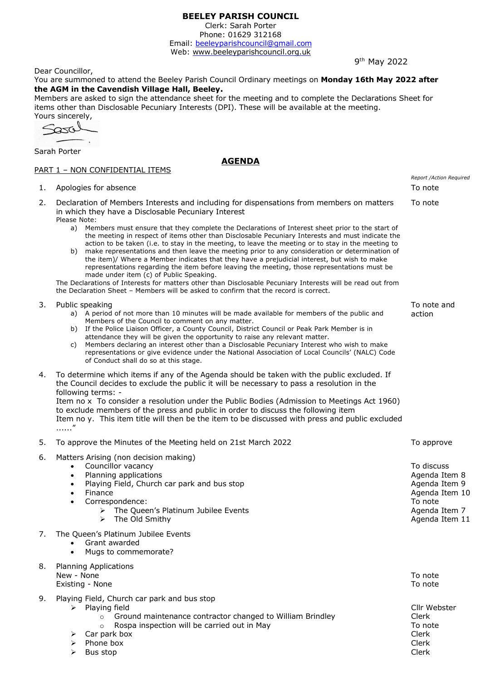Clerk: Sarah Porter Phone: 01629 312168

Email: beeleyparishcouncil@gmail.com Web: <www.beeleyparishcouncil.org.uk>

9<sup>th</sup> May 2022

Dear Councillor,

You are summoned to attend the Beeley Parish Council Ordinary meetings on **Monday 16th May 2022 after the AGM in the Cavendish Village Hall, Beeley.**

Members are asked to sign the attendance sheet for the meeting and to complete the Declarations Sheet for items other than Disclosable Pecuniary Interests (DPI). These will be available at the meeting.

**AGENDA**

Yours sincerely,

Sarah Porter

### PART 1 - NON CONFIDENTIAL ITEMS

| 1. | Apologies for absence                                                                                                                                                                                                                                                                                                                                                                                                                                                                                                                                                                                                                                                                                                                                                                                                                                                                                                                                                                                                                      | Report /Action Required<br>To note                                                                           |
|----|--------------------------------------------------------------------------------------------------------------------------------------------------------------------------------------------------------------------------------------------------------------------------------------------------------------------------------------------------------------------------------------------------------------------------------------------------------------------------------------------------------------------------------------------------------------------------------------------------------------------------------------------------------------------------------------------------------------------------------------------------------------------------------------------------------------------------------------------------------------------------------------------------------------------------------------------------------------------------------------------------------------------------------------------|--------------------------------------------------------------------------------------------------------------|
| 2. | Declaration of Members Interests and including for dispensations from members on matters<br>in which they have a Disclosable Pecuniary Interest<br>Please Note:<br>Members must ensure that they complete the Declarations of Interest sheet prior to the start of<br>a)<br>the meeting in respect of items other than Disclosable Pecuniary Interests and must indicate the<br>action to be taken (i.e. to stay in the meeting, to leave the meeting or to stay in the meeting to<br>make representations and then leave the meeting prior to any consideration or determination of<br>b)<br>the item)/ Where a Member indicates that they have a prejudicial interest, but wish to make<br>representations regarding the item before leaving the meeting, those representations must be<br>made under item (c) of Public Speaking.<br>The Declarations of Interests for matters other than Disclosable Pecuniary Interests will be read out from<br>the Declaration Sheet - Members will be asked to confirm that the record is correct. | To note                                                                                                      |
| 3. | Public speaking<br>a) A period of not more than 10 minutes will be made available for members of the public and<br>Members of the Council to comment on any matter.<br>b) If the Police Liaison Officer, a County Council, District Council or Peak Park Member is in<br>attendance they will be given the opportunity to raise any relevant matter.<br>Members declaring an interest other than a Disclosable Pecuniary Interest who wish to make<br>C)<br>representations or give evidence under the National Association of Local Councils' (NALC) Code<br>of Conduct shall do so at this stage.                                                                                                                                                                                                                                                                                                                                                                                                                                        | To note and<br>action                                                                                        |
| 4. | To determine which items if any of the Agenda should be taken with the public excluded. If<br>the Council decides to exclude the public it will be necessary to pass a resolution in the<br>following terms: -<br>Item no x To consider a resolution under the Public Bodies (Admission to Meetings Act 1960)<br>to exclude members of the press and public in order to discuss the following item<br>Item no y. This item title will then be the item to be discussed with press and public excluded<br>$\ldots$ "                                                                                                                                                                                                                                                                                                                                                                                                                                                                                                                        |                                                                                                              |
| 5. | To approve the Minutes of the Meeting held on 21st March 2022                                                                                                                                                                                                                                                                                                                                                                                                                                                                                                                                                                                                                                                                                                                                                                                                                                                                                                                                                                              | To approve                                                                                                   |
| 6. | Matters Arising (non decision making)<br>Councillor vacancy<br>$\bullet$<br>Planning applications<br>$\bullet$<br>Playing Field, Church car park and bus stop<br>$\bullet$<br>Finance<br>$\bullet$<br>Correspondence:<br>$\bullet$<br>> The Queen's Platinum Jubilee Events<br>The Old Smithy<br>➤                                                                                                                                                                                                                                                                                                                                                                                                                                                                                                                                                                                                                                                                                                                                         | To discuss<br>Agenda Item 8<br>Agenda Item 9<br>Agenda Item 10<br>To note<br>Agenda Item 7<br>Agenda Item 11 |
| 7. | The Queen's Platinum Jubilee Events<br>Grant awarded<br>$\bullet$<br>Mugs to commemorate?                                                                                                                                                                                                                                                                                                                                                                                                                                                                                                                                                                                                                                                                                                                                                                                                                                                                                                                                                  |                                                                                                              |
| 8. | <b>Planning Applications</b><br>New - None<br>Existing - None                                                                                                                                                                                                                                                                                                                                                                                                                                                                                                                                                                                                                                                                                                                                                                                                                                                                                                                                                                              | To note<br>To note                                                                                           |
| 9. | Playing Field, Church car park and bus stop<br>$\triangleright$ Playing field<br>Ground maintenance contractor changed to William Brindley<br>$\circ$<br>Rospa inspection will be carried out in May<br>$\circ$<br>Car park box<br>⋗<br>Phone box<br>Bus stop                                                                                                                                                                                                                                                                                                                                                                                                                                                                                                                                                                                                                                                                                                                                                                              | Cllr Webster<br>Clerk<br>To note<br>Clerk<br>Clerk<br>Clerk                                                  |

 $\triangleright$  Bus stop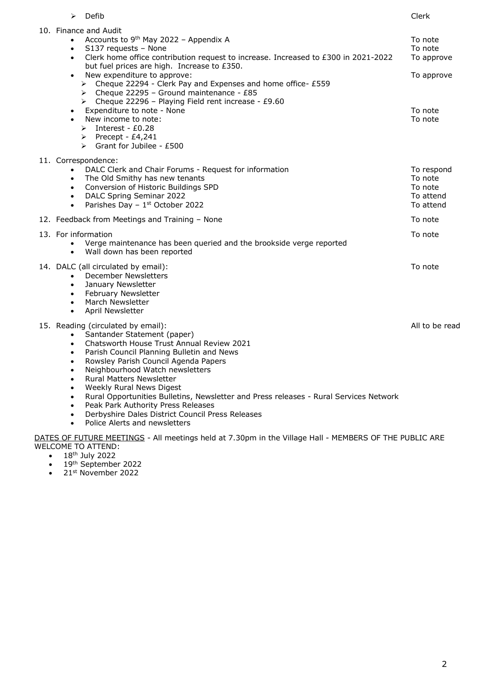| ➤                                                                                                                                           | Defib                                                                                                                                                                                                                                                                                                                                                                                                                                                                                                                                                                                                        | Clerk                                                                |
|---------------------------------------------------------------------------------------------------------------------------------------------|--------------------------------------------------------------------------------------------------------------------------------------------------------------------------------------------------------------------------------------------------------------------------------------------------------------------------------------------------------------------------------------------------------------------------------------------------------------------------------------------------------------------------------------------------------------------------------------------------------------|----------------------------------------------------------------------|
| $\bullet$<br>$\bullet$<br>$\bullet$                                                                                                         | 10. Finance and Audit<br>Accounts to 9 <sup>th</sup> May 2022 - Appendix A<br>S137 requests - None<br>Clerk home office contribution request to increase. Increased to £300 in 2021-2022<br>but fuel prices are high. Increase to £350.<br>New expenditure to approve:<br>> Cheque 22294 - Clerk Pay and Expenses and home office- £559<br>> Cheque 22295 - Ground maintenance - £85<br>> Cheque 22296 - Playing Field rent increase - £9.60<br>Expenditure to note - None<br>New income to note:<br>$\triangleright$ Interest - £0.28<br>$\triangleright$ Precept - £4,241<br>Grant for Jubilee - £500<br>➤ | To note<br>To note<br>To approve<br>To approve<br>To note<br>To note |
| $\bullet$<br>$\bullet$<br>$\bullet$<br>$\bullet$<br>$\bullet$                                                                               | 11. Correspondence:<br>DALC Clerk and Chair Forums - Request for information<br>The Old Smithy has new tenants<br>Conversion of Historic Buildings SPD<br>DALC Spring Seminar 2022<br>Parishes Day - 1st October 2022                                                                                                                                                                                                                                                                                                                                                                                        | To respond<br>To note<br>To note<br>To attend<br>To attend           |
|                                                                                                                                             | 12. Feedback from Meetings and Training - None                                                                                                                                                                                                                                                                                                                                                                                                                                                                                                                                                               | To note                                                              |
| $\bullet$                                                                                                                                   | 13. For information<br>Verge maintenance has been queried and the brookside verge reported<br>Wall down has been reported                                                                                                                                                                                                                                                                                                                                                                                                                                                                                    | To note                                                              |
| $\bullet$<br>$\bullet$<br>$\bullet$<br>$\bullet$                                                                                            | 14. DALC (all circulated by email):<br><b>December Newsletters</b><br>January Newsletter<br>• February Newsletter<br>March Newsletter<br>April Newsletter                                                                                                                                                                                                                                                                                                                                                                                                                                                    | To note                                                              |
| $\bullet$<br>$\bullet$<br>$\bullet$<br>$\bullet$<br>$\bullet$<br>$\bullet$<br>$\bullet$<br>$\bullet$<br>$\bullet$<br>$\bullet$<br>$\bullet$ | 15. Reading (circulated by email):<br>Santander Statement (paper)<br>Chatsworth House Trust Annual Review 2021<br>Parish Council Planning Bulletin and News<br>Rowsley Parish Council Agenda Papers<br>Neighbourhood Watch newsletters<br><b>Rural Matters Newsletter</b><br>Weekly Rural News Digest<br>Rural Opportunities Bulletins, Newsletter and Press releases - Rural Services Network<br>Peak Park Authority Press Releases<br>Derbyshire Dales District Council Press Releases<br>Police Alerts and newsletters                                                                                    | All to be read                                                       |

DATES OF FUTURE MEETINGS - All meetings held at 7.30pm in the Village Hall - MEMBERS OF THE PUBLIC ARE WELCOME TO ATTEND:

- 18<sup>th</sup> July 2022
- 19<sup>th</sup> September 2022
- $\bullet$  21st November 2022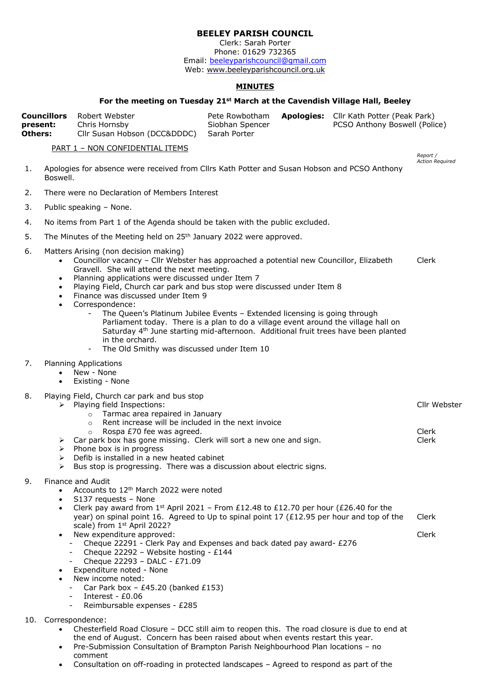Clerk: Sarah Porter Phone: 01629 732365 Email: beeleyparishcouncil@gmail.com Web:<www.beeleyparishcouncil.org.uk>

### **MINUTES**

### **For the meeting on Tuesday 21st March at the Cavendish Village Hall, Beeley**

*Report / Action Required*

Cllr Webster

Clerk Clerk

|                     | <b>Councillors</b> Robert Webster                          |                 | Pete Rowbotham Apologies: Cllr Kath Potter (Peak Park) |
|---------------------|------------------------------------------------------------|-----------------|--------------------------------------------------------|
| present:<br>Others: | Chris Hornsby<br>Cllr Susan Hobson (DCC&DDDC) Sarah Porter | Siobhan Spencer | PCSO Anthony Boswell (Police)                          |
|                     |                                                            |                 |                                                        |

PART 1 – NON CONFIDENTIAL ITEMS

- 1. Apologies for absence were received from Cllrs Kath Potter and Susan Hobson and PCSO Anthony Boswell.
- 2. There were no Declaration of Members Interest
- 3. Public speaking None.
- 4. No items from Part 1 of the Agenda should be taken with the public excluded.
- 5. The Minutes of the Meeting held on 25<sup>th</sup> January 2022 were approved.
- 6. Matters Arising (non decision making)
	- Councillor vacancy Cllr Webster has approached a potential new Councillor, Elizabeth Gravell. She will attend the next meeting. Clerk
	- Planning applications were discussed under Item 7
	- Playing Field, Church car park and bus stop were discussed under Item 8
	- Finance was discussed under Item 9
	- Correspondence:
		- The Queen's Platinum Jubilee Events Extended licensing is going through Parliament today. There is a plan to do a village event around the village hall on Saturday 4<sup>th</sup> June starting mid-afternoon. Additional fruit trees have been planted in the orchard.
		- The Old Smithy was discussed under Item 10
- 7. Planning Applications
	- New None
	- Existing None
- 8. Playing Field, Church car park and bus stop
	- $\triangleright$  Playing field Inspections:
		- o Tarmac area repaired in January
		- o Rent increase will be included in the next invoice
		- o Rospa £70 fee was agreed.
		- $\geq$  Car park box has gone missing. Clerk will sort a new one and sign.
		- $\triangleright$  Phone box is in progress
		- Defib is installed in a new heated cabinet
		- $\triangleright$  Bus stop is progressing. There was a discussion about electric signs.
- 9. Finance and Audit
	- Accounts to  $12<sup>th</sup>$  March 2022 were noted
	- S137 requests None
	- Clerk pay award from  $1^{st}$  April 2021 From £12.48 to £12.70 per hour (£26.40 for the year) on spinal point 16. Agreed to Up to spinal point 17 (£12.95 per hour and top of the scale) from 1 st April 2022? Clerk Clerk
	- New expenditure approved:
		- Cheque 22291 Clerk Pay and Expenses and back dated pay award- £276
		- Cheque 22292 Website hosting £144
		- Cheque 22293 DALC £71.09
	- Expenditure noted None
	- New income noted:
		- Car Park box  $£45.20$  (banked  $£153$ )
	- Interest £0.06
		- Reimbursable expenses £285
- 10. Correspondence:
	- Chesterfield Road Closure DCC still aim to reopen this. The road closure is due to end at the end of August. Concern has been raised about when events restart this year.
	- Pre-Submission Consultation of Brampton Parish Neighbourhood Plan locations no comment
	- Consultation on off-roading in protected landscapes Agreed to respond as part of the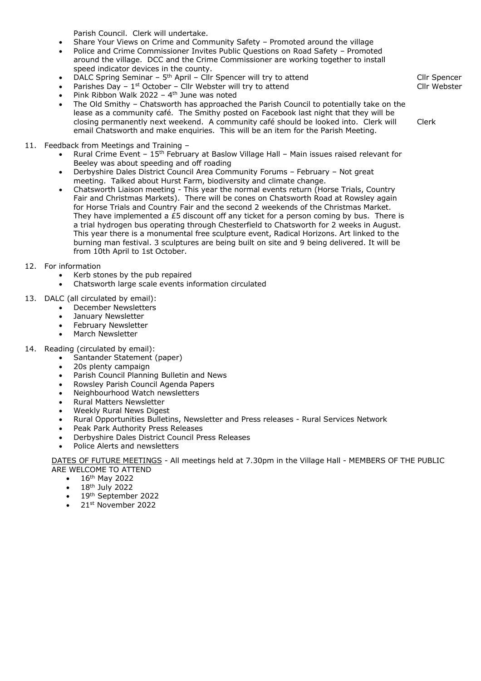Parish Council. Clerk will undertake.

- Share Your Views on Crime and Community Safety Promoted around the village
- Police and Crime Commissioner Invites Public Questions on Road Safety Promoted around the village. DCC and the Crime Commissioner are working together to install speed indicator devices in the county.
- DALC Spring Seminar 5<sup>th</sup> April Cllr Spencer will try to attend
- Parishes Day  $-1^{st}$  October Cllr Webster will try to attend
- Pink Ribbon Walk 2022 4<sup>th</sup> June was noted
- The Old Smithy Chatsworth has approached the Parish Council to potentially take on the lease as a community café. The Smithy posted on Facebook last night that they will be closing permanently next weekend. A community café should be looked into. Clerk will email Chatsworth and make enquiries. This will be an item for the Parish Meeting.
- 11. Feedback from Meetings and Training
	- Rural Crime Event 15th February at Baslow Village Hall Main issues raised relevant for Beeley was about speeding and off roading
	- Derbyshire Dales District Council Area Community Forums February Not great meeting. Talked about Hurst Farm, biodiversity and climate change.
	- Chatsworth Liaison meeting This year the normal events return (Horse Trials, Country Fair and Christmas Markets). There will be cones on Chatsworth Road at Rowsley again for Horse Trials and Country Fair and the second 2 weekends of the Christmas Market. They have implemented a £5 discount off any ticket for a person coming by bus. There is a trial hydrogen bus operating through Chesterfield to Chatsworth for 2 weeks in August. This year there is a monumental free sculpture event, Radical Horizons. Art linked to the burning man festival. 3 sculptures are being built on site and 9 being delivered. It will be from 10th April to 1st October.

### 12. For information

- Kerb stones by the pub repaired
- Chatsworth large scale events information circulated
- 13. DALC (all circulated by email):
	- December Newsletters
	- January Newsletter
	- February Newsletter
	- March Newsletter
- 14. Reading (circulated by email):
	- Santander Statement (paper)
	- 20s plenty campaign
	- Parish Council Planning Bulletin and News
	- Rowsley Parish Council Agenda Papers
	- Neighbourhood Watch newsletters
	- Rural Matters Newsletter
	- Weekly Rural News Digest
	- Rural Opportunities Bulletins, Newsletter and Press releases Rural Services Network
	- Peak Park Authority Press Releases
	- Derbyshire Dales District Council Press Releases
	- Police Alerts and newsletters

DATES OF FUTURE MEETINGS - All meetings held at 7.30pm in the Village Hall - MEMBERS OF THE PUBLIC ARE WELCOME TO ATTEND

- $\bullet$  16<sup>th</sup> May 2022
- $\cdot$  18<sup>th</sup> July 2022
- 19<sup>th</sup> September 2022
- 21st November 2022

Cllr Spencer Cllr Webster

Clerk